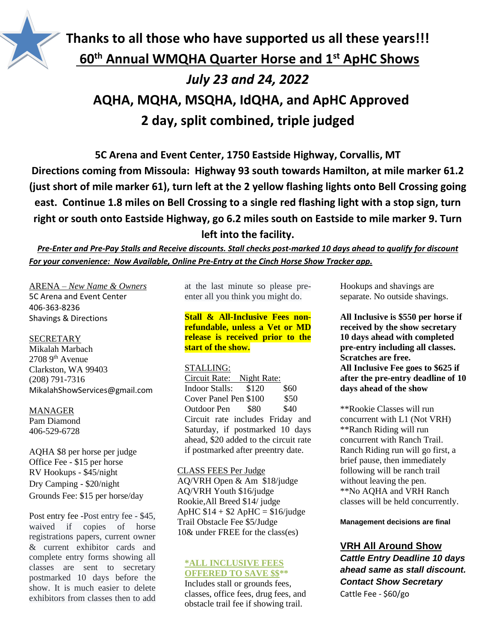

# **Thanks to all those who have supported us all these years!!! 60th Annual WMQHA Quarter Horse and 1 st ApHC Shows** *July 23 and 24, 2022* **AQHA, MQHA, MSQHA, IdQHA, and ApHC Approved 2 day, split combined, triple judged**

**5C Arena and Event Center, 1750 Eastside Highway, Corvallis, MT Directions coming from Missoula: Highway 93 south towards Hamilton, at mile marker 61.2 (just short of mile marker 61), turn left at the 2 yellow flashing lights onto Bell Crossing going east. Continue 1.8 miles on Bell Crossing to a single red flashing light with a stop sign, turn right or south onto Eastside Highway, go 6.2 miles south on Eastside to mile marker 9. Turn left into the facility.**

*Pre-Enter and Pre-Pay Stalls and Receive discounts. Stall checks post-marked 10 days ahead to qualify for discount For your convenience: Now Available, Online Pre-Entry at the Cinch Horse Show Tracker app.*

ARENA – *New Name & Owners* 5C Arena and Event Center 406-363-8236 Shavings & Directions

#### **SECRETARY**

Mikalah Marbach  $2708$  9<sup>th</sup> Avenue Clarkston, WA 99403 (208) 791-7316 MikalahShowServices@gmail.com

#### MANAGER

Pam Diamond 406-529-6728

AQHA \$8 per horse per judge Office Fee - \$15 per horse RV Hookups - \$45/night Dry Camping - \$20/night Grounds Fee: \$15 per horse/day

Post entry fee -Post entry fee - \$45, waived if copies of horse registrations papers, current owner & current exhibitor cards and complete entry forms showing all classes are sent to secretary postmarked 10 days before the show. It is much easier to delete exhibitors from classes then to add

at the last minute so please preenter all you think you might do.

**Stall & All-Inclusive Fees nonrefundable, unless a Vet or MD release is received prior to the start of the show.**

#### STALLING:

Circuit Rate: Night Rate: Indoor Stalls: \$120 \$60 Cover Panel Pen \$100 \$50 Outdoor Pen \$80 \$40 Circuit rate includes Friday and Saturday, if postmarked 10 days ahead, \$20 added to the circuit rate if postmarked after preentry date.

#### CLASS FEES Per Judge

AQ/VRH Open & Am \$18/judge AQ/VRH Youth \$16/judge Rookie,All Breed \$14/ judge ApHC  $$14 + $2$  ApHC =  $$16$ /judge Trail Obstacle Fee \$5/Judge 10& under FREE for the class(es)

#### **\*ALL INCLUSIVE FEES OFFERED TO SAVE \$\$\*\***

Includes stall or grounds fees, classes, office fees, drug fees, and obstacle trail fee if showing trail.

Hookups and shavings are separate. No outside shavings.

**All Inclusive is \$550 per horse if received by the show secretary 10 days ahead with completed pre-entry including all classes. Scratches are free. All Inclusive Fee goes to \$625 if after the pre-entry deadline of 10 days ahead of the show** 

\*\*Rookie Classes will run concurrent with L1 (Not VRH) \*\*Ranch Riding will run concurrent with Ranch Trail. Ranch Riding run will go first, a brief pause, then immediately following will be ranch trail without leaving the pen. \*\*No AQHA and VRH Ranch classes will be held concurrently.

**Management decisions are final**

## **VRH All Around Show**

*Cattle Entry Deadline 10 days ahead same as stall discount. Contact Show Secretary* Cattle Fee - \$60/go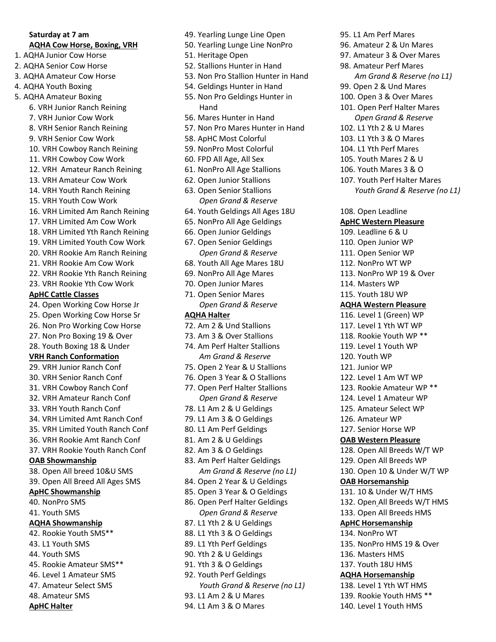## **Saturday at 7 am**

## **AQHA Cow Horse, Boxing, VRH**

- 1. AQHA Junior Cow Horse
- 2. AQHA Senior Cow Horse
- 3. AQHA Amateur Cow Horse
- 4. AQHA Youth Boxing
- 5. AQHA Amateur Boxing
	- 6. VRH Junior Ranch Reining
	- 7. VRH Junior Cow Work
	- 8. VRH Senior Ranch Reining
	- 9. VRH Senior Cow Work
	- 10. VRH Cowboy Ranch Reining
	- 11. VRH Cowboy Cow Work
	- 12. VRH Amateur Ranch Reining
	- 13. VRH Amateur Cow Work
	- 14. VRH Youth Ranch Reining
	- 15. VRH Youth Cow Work
	- 16. VRH Limited Am Ranch Reining
	- 17. VRH Limited Am Cow Work
	- 18. VRH Limited Yth Ranch Reining
	- 19. VRH Limited Youth Cow Work
	- 20. VRH Rookie Am Ranch Reining
	- 21. VRH Rookie Am Cow Work
	- 22. VRH Rookie Yth Ranch Reining
	- 23. VRH Rookie Yth Cow Work

#### **ApHC Cattle Classes**

- 24. Open Working Cow Horse Jr
- 25. Open Working Cow Horse Sr
- 26. Non Pro Working Cow Horse
- 27. Non Pro Boxing 19 & Over
- 28. Youth Boxing 18 & Under

### **VRH Ranch Conformation**

- 29. VRH Junior Ranch Conf
- 30. VRH Senior Ranch Conf
- 31. VRH Cowboy Ranch Conf
- 32. VRH Amateur Ranch Conf
- 33. VRH Youth Ranch Conf
- 34. VRH Limited Amt Ranch Conf
- 35. VRH Limited Youth Ranch Conf
- 36. VRH Rookie Amt Ranch Conf
- 37. VRH Rookie Youth Ranch Conf

## **OAB Showmanship**

- 38. Open All breed 10&U SMS
- 39. Open All Breed All Ages SMS

## **ApHC Showmanship**

- 40. NonPro SMS 41. Youth SMS
- 

## **AQHA Showmanship**

- 42. Rookie Youth SMS\*\* 43. L1 Youth SMS
- 44. Youth SMS
- 45. Rookie Amateur SMS\*\*
- 46. Level 1 Amateur SMS
- 47. Amateur Select SMS
- 48. Amateur SMS
- **ApHC Halter**

49. Yearling Lunge Line Open

95. L1 Am Perf Mares 96. Amateur 2 & Un Mares 97. Amateur 3 & Over Mares 98. Amateur Perf Mares

99. Open 2 & Und Mares 100. Open 3 & Over Mares 101. Open Perf Halter Mares *Open Grand & Reserve* 102. L1 Yth 2 & U Mares 103. L1 Yth 3 & O Mares 104. L1 Yth Perf Mares 105. Youth Mares 2 & U 106. Youth Mares 3 & O 107. Youth Perf Halter Mares

108. Open Leadline **ApHC Western Pleasure** 109. Leadline 6 & U 110. Open Junior WP 111. Open Senior WP 112. NonPro WT WP 113. NonPro WP 19 & Over

114. Masters WP 115. Youth 18U WP **AQHA Western Pleasure** 116. Level 1 (Green) WP 117. Level 1 Yth WT WP 118. Rookie Youth WP \*\* 119. Level 1 Youth WP

120. Youth WP 121. Junior WP

122. Level 1 Am WT WP 123. Rookie Amateur WP \*\* 124. Level 1 Amateur WP 125. Amateur Select WP 126. Amateur WP 127. Senior Horse WP **OAB Western Pleasure** 128. Open All Breeds W/T WP 129. Open All Breeds WP 130. Open 10 & Under W/T WP

**OAB Horsemanship** 131. 10 & Under W/T HMS 132. Open All Breeds W/T HMS 133. Open All Breeds HMS **ApHC Horsemanship** 134. NonPro WT

136. Masters HMS 137. Youth 18U HMS **AQHA Horsemanship** 138. Level 1 Yth WT HMS 139. Rookie Youth HMS \*\* 140. Level 1 Youth HMS

135. NonPro HMS 19 & Over

*Am Grand & Reserve (no L1)*

*Youth Grand & Reserve (no L1)*

- 50. Yearling Lunge Line NonPro
- 51. Heritage Open
- 52. Stallions Hunter in Hand
- 53. Non Pro Stallion Hunter in Hand
- 54. Geldings Hunter in Hand
- 55. Non Pro Geldings Hunter in Hand
- 56. Mares Hunter in Hand
- 57. Non Pro Mares Hunter in Hand
- 58. ApHC Most Colorful
- 59. NonPro Most Colorful
- 60. FPD All Age, All Sex
- 61. NonPro All Age Stallions
- 62. Open Junior Stallions
- 63. Open Senior Stallions *Open Grand & Reserve*
- 64. Youth Geldings All Ages 18U
- 65. NonPro All Age Geldings
- 66. Open Junior Geldings
- 67. Open Senior Geldings *Open Grand & Reserve*
- 68. Youth All Age Mares 18U
- 69. NonPro All Age Mares
- 70. Open Junior Mares
- 71. Open Senior Mares *Open Grand & Reserve*

#### **AQHA Halter**

- 72. Am 2 & Und Stallions
- 73. Am 3 & Over Stallions
- 74. Am Perf Halter Stallions *Am Grand & Reserve*
- 75. Open 2 Year & U Stallions
- 76. Open 3 Year & O Stallions
- 77. Open Perf Halter Stallions
- *Open Grand & Reserve*
- 78. L1 Am 2 & U Geldings
- 79. L1 Am 3 & O Geldings
- 80. L1 Am Perf Geldings
- 81. Am 2 & U Geldings
- 82. Am 3 & O Geldings
- 83. Am Perf Halter Geldings *Am Grand & Reserve (no L1)*
- 84. Open 2 Year & U Geldings
- 85. Open 3 Year & O Geldings
- 86. Open Perf Halter Geldings *Open Grand & Reserve* 87. L1 Yth 2 & U Geldings
- 88. L1 Yth 3 & O Geldings
- 89. L1 Yth Perf Geldings
- 90. Yth 2 & U Geldings
- 91. Yth 3 & O Geldings

94. L1 Am 3 & O Mares

92. Youth Perf Geldings *Youth Grand & Reserve (no L1)* 93. L1 Am 2 & U Mares